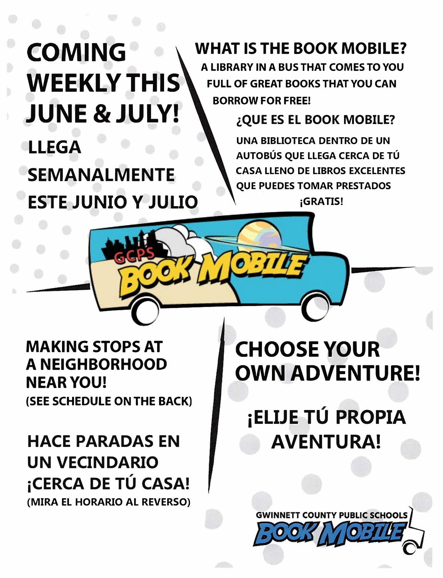# **<:OMING WEEKLY THIS JUNE &JULY! LLEGA SEMANALMENTE ESTE JUNIO V JULIO**

## **WHAT IS THE BOOK MOBILE?**

**A LIBRARY IN A BUS THAT COMES TO YOU FULL OF GREAT BOOKS THAT YOU CAN BORROW FOR FREE!** 

#### **,QUE ES EL BOOK MOBILE?**

**UNA BIBLIOTECA DENTRO DE UN AUTOBUS QUE LLEGA CERCA DE TU CASA LLENO DE LIBROS EXCELENTES QUE PUEDES TOMAR PRESTADOS iGRATIS!** 

#### **MAKING STOPS AT A NEIGHBORHOOD NEAR YOU! (SEE SCHEDULE ON THE BACK}**

### **HACE PARADAS EN UN VECINDARIO iCERCA DE TU CASA! (MIRA EL HORARIO AL REVERSO)**

### **CHOOSE YOUR OWN ADVENTURE!**

### **iELIJE TÚ PROPIA AVENTURA!**

**GWINNETT COUNTY PUBLIC SCHOOLS**